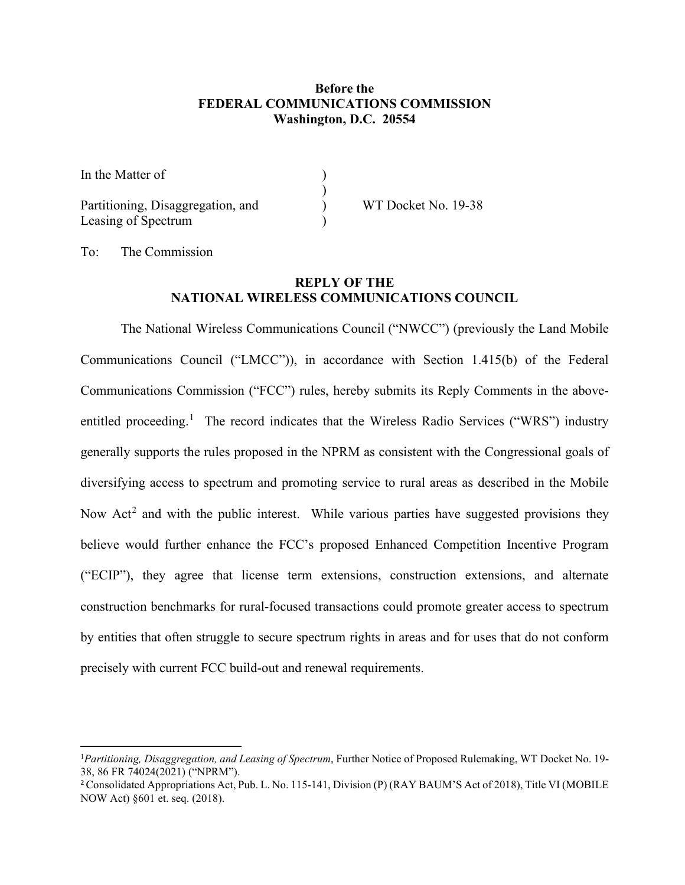## **Before the FEDERAL COMMUNICATIONS COMMISSION Washington, D.C. 20554**

| In the Matter of                  |                     |
|-----------------------------------|---------------------|
|                                   |                     |
| Partitioning, Disaggregation, and | WT Docket No. 19-38 |
| Leasing of Spectrum               |                     |

To: The Commission

## **REPLY OF THE NATIONAL WIRELESS COMMUNICATIONS COUNCIL**

The National Wireless Communications Council ("NWCC") (previously the Land Mobile Communications Council ("LMCC")), in accordance with Section 1.415(b) of the Federal Communications Commission ("FCC") rules, hereby submits its Reply Comments in the above-entitled proceeding.<sup>[1](#page-0-0)</sup> The record indicates that the Wireless Radio Services ("WRS") industry generally supports the rules proposed in the NPRM as consistent with the Congressional goals of diversifying access to spectrum and promoting service to rural areas as described in the Mobile Now  $Act<sup>2</sup>$  $Act<sup>2</sup>$  $Act<sup>2</sup>$  and with the public interest. While various parties have suggested provisions they believe would further enhance the FCC's proposed Enhanced Competition Incentive Program ("ECIP"), they agree that license term extensions, construction extensions, and alternate construction benchmarks for rural-focused transactions could promote greater access to spectrum by entities that often struggle to secure spectrum rights in areas and for uses that do not conform precisely with current FCC build-out and renewal requirements.

<span id="page-0-0"></span><sup>1</sup> *Partitioning, Disaggregation, and Leasing of Spectrum*, Further Notice of Proposed Rulemaking, WT Docket No. 19- 38, 86 FR 74024(2021) ("NPRM").

<span id="page-0-1"></span><sup>&</sup>lt;sup>2</sup> Consolidated Appropriations Act, Pub. L. No. 115-141, Division (P) (RAY BAUM'S Act of 2018), Title VI (MOBILE NOW Act) §601 et. seq. (2018).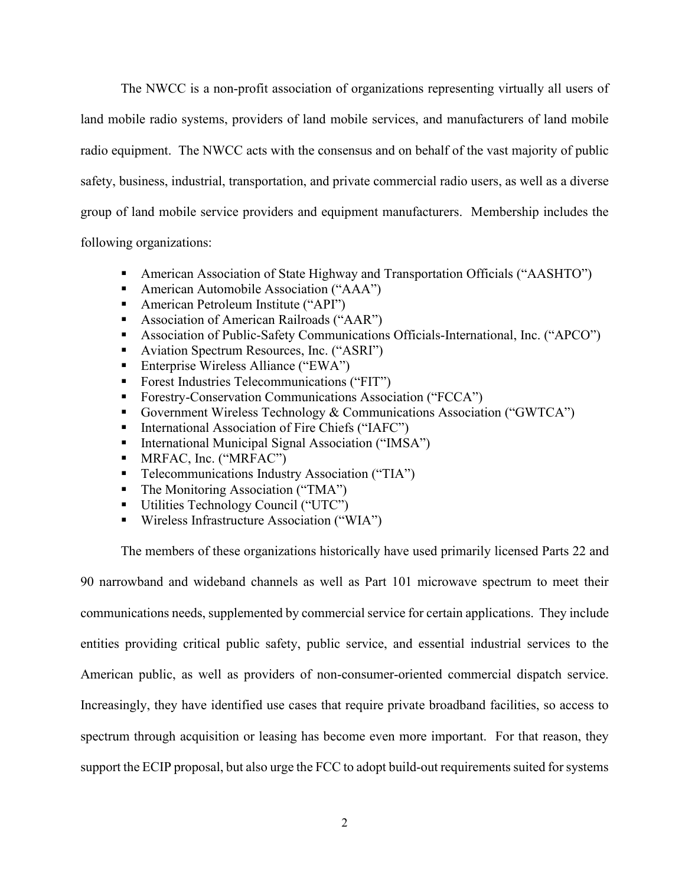The NWCC is a non-profit association of organizations representing virtually all users of land mobile radio systems, providers of land mobile services, and manufacturers of land mobile radio equipment. The NWCC acts with the consensus and on behalf of the vast majority of public safety, business, industrial, transportation, and private commercial radio users, as well as a diverse group of land mobile service providers and equipment manufacturers. Membership includes the following organizations:

- American Association of State Highway and Transportation Officials ("AASHTO")
- American Automobile Association ("AAA")
- American Petroleum Institute ("API")
- Association of American Railroads ("AAR")
- Association of Public-Safety Communications Officials-International, Inc. ("APCO")
- Aviation Spectrum Resources, Inc. ("ASRI")
- Enterprise Wireless Alliance ("EWA")
- Forest Industries Telecommunications ("FIT")
- **Forestry-Conservation Communications Association ("FCCA")**
- Government Wireless Technology & Communications Association ("GWTCA")
- International Association of Fire Chiefs ("IAFC")
- International Municipal Signal Association ("IMSA")
- **MRFAC, Inc. ("MRFAC")**
- Telecommunications Industry Association ("TIA")
- The Monitoring Association ("TMA")
- Utilities Technology Council ("UTC")
- Wireless Infrastructure Association ("WIA")

The members of these organizations historically have used primarily licensed Parts 22 and

90 narrowband and wideband channels as well as Part 101 microwave spectrum to meet their communications needs, supplemented by commercial service for certain applications. They include entities providing critical public safety, public service, and essential industrial services to the American public, as well as providers of non-consumer-oriented commercial dispatch service. Increasingly, they have identified use cases that require private broadband facilities, so access to spectrum through acquisition or leasing has become even more important. For that reason, they support the ECIP proposal, but also urge the FCC to adopt build-out requirements suited for systems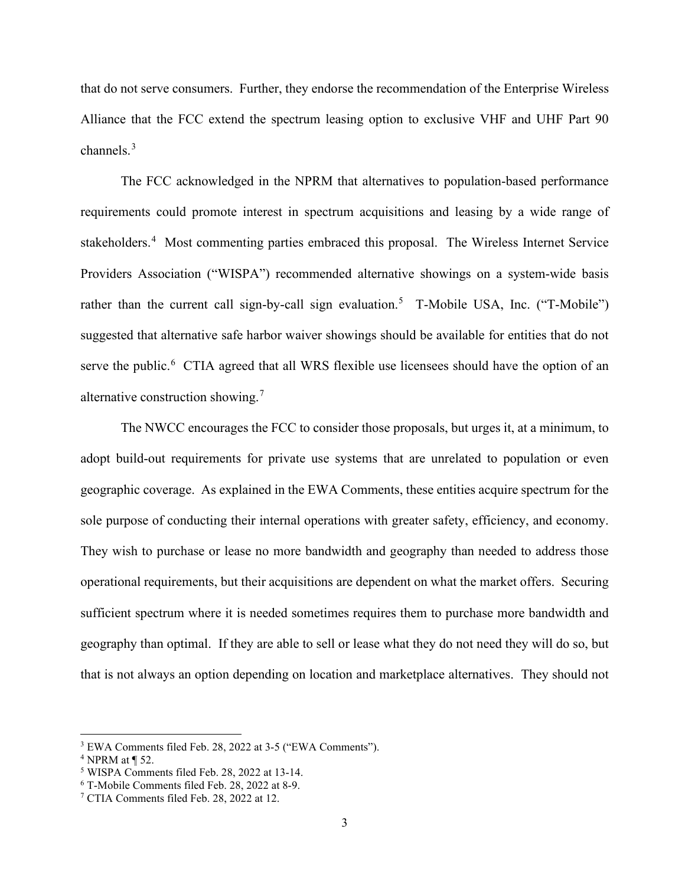that do not serve consumers. Further, they endorse the recommendation of the Enterprise Wireless Alliance that the FCC extend the spectrum leasing option to exclusive VHF and UHF Part 90 channels.[3](#page-2-0)

The FCC acknowledged in the NPRM that alternatives to population-based performance requirements could promote interest in spectrum acquisitions and leasing by a wide range of stakeholders.<sup>[4](#page-2-1)</sup> Most commenting parties embraced this proposal. The Wireless Internet Service Providers Association ("WISPA") recommended alternative showings on a system-wide basis rather than the current call sign-by-call sign evaluation.<sup>[5](#page-2-2)</sup> T-Mobile USA, Inc. ("T-Mobile") suggested that alternative safe harbor waiver showings should be available for entities that do not serve the public.<sup>[6](#page-2-3)</sup> CTIA agreed that all WRS flexible use licensees should have the option of an alternative construction showing.[7](#page-2-4)

The NWCC encourages the FCC to consider those proposals, but urges it, at a minimum, to adopt build-out requirements for private use systems that are unrelated to population or even geographic coverage. As explained in the EWA Comments, these entities acquire spectrum for the sole purpose of conducting their internal operations with greater safety, efficiency, and economy. They wish to purchase or lease no more bandwidth and geography than needed to address those operational requirements, but their acquisitions are dependent on what the market offers. Securing sufficient spectrum where it is needed sometimes requires them to purchase more bandwidth and geography than optimal. If they are able to sell or lease what they do not need they will do so, but that is not always an option depending on location and marketplace alternatives. They should not

<span id="page-2-0"></span><sup>3</sup> EWA Comments filed Feb. 28, 2022 at 3-5 ("EWA Comments").

<span id="page-2-1"></span> $4$  NPRM at  $\P$  52.

<span id="page-2-2"></span><sup>5</sup> WISPA Comments filed Feb. 28, 2022 at 13-14.

<span id="page-2-3"></span><sup>6</sup> T-Mobile Comments filed Feb. 28, 2022 at 8-9.

<span id="page-2-4"></span><sup>7</sup> CTIA Comments filed Feb. 28, 2022 at 12.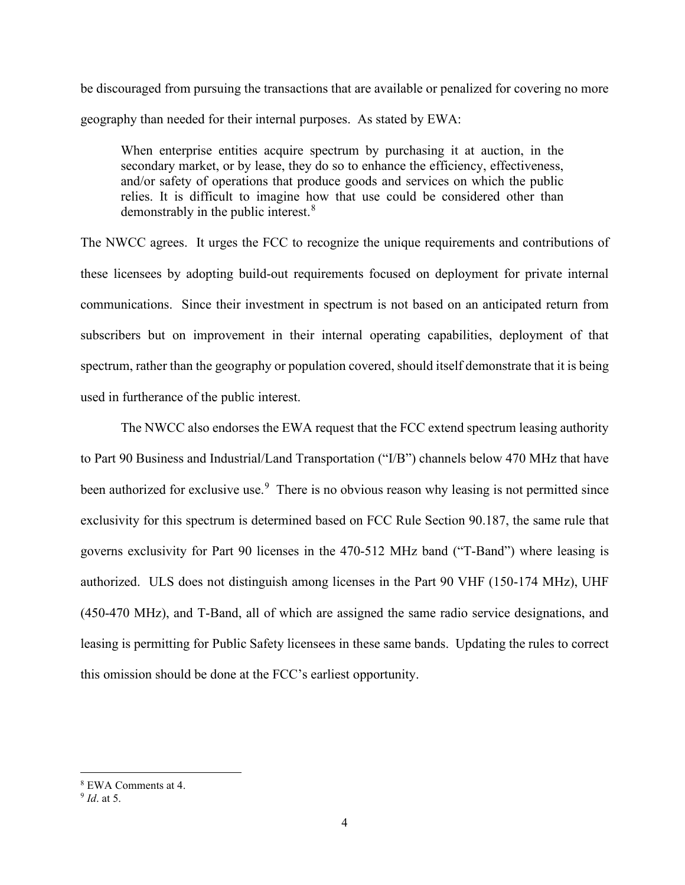be discouraged from pursuing the transactions that are available or penalized for covering no more geography than needed for their internal purposes. As stated by EWA:

When enterprise entities acquire spectrum by purchasing it at auction, in the secondary market, or by lease, they do so to enhance the efficiency, effectiveness, and/or safety of operations that produce goods and services on which the public relies. It is difficult to imagine how that use could be considered other than demonstrably in the public interest.<sup>[8](#page-3-0)</sup>

The NWCC agrees. It urges the FCC to recognize the unique requirements and contributions of these licensees by adopting build-out requirements focused on deployment for private internal communications. Since their investment in spectrum is not based on an anticipated return from subscribers but on improvement in their internal operating capabilities, deployment of that spectrum, rather than the geography or population covered, should itself demonstrate that it is being used in furtherance of the public interest.

The NWCC also endorses the EWA request that the FCC extend spectrum leasing authority to Part 90 Business and Industrial/Land Transportation ("I/B") channels below 470 MHz that have been authorized for exclusive use. $9$  There is no obvious reason why leasing is not permitted since exclusivity for this spectrum is determined based on FCC Rule Section 90.187, the same rule that governs exclusivity for Part 90 licenses in the 470-512 MHz band ("T-Band") where leasing is authorized. ULS does not distinguish among licenses in the Part 90 VHF (150-174 MHz), UHF (450-470 MHz), and T-Band, all of which are assigned the same radio service designations, and leasing is permitting for Public Safety licensees in these same bands. Updating the rules to correct this omission should be done at the FCC's earliest opportunity.

<span id="page-3-0"></span><sup>8</sup> EWA Comments at 4.

<span id="page-3-1"></span><sup>9</sup> *Id*. at 5.